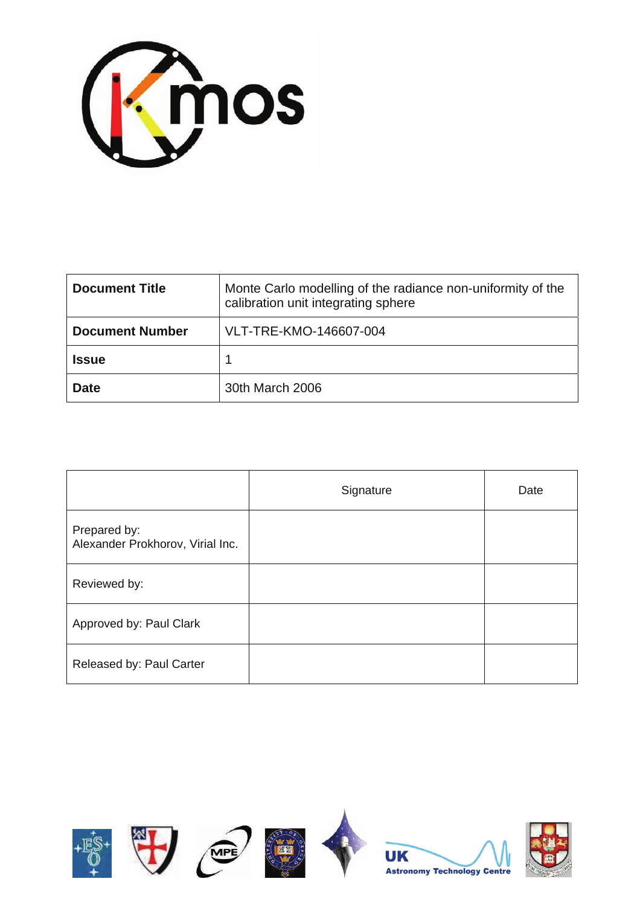

| <b>Document Title</b>  | Monte Carlo modelling of the radiance non-uniformity of the<br>calibration unit integrating sphere |
|------------------------|----------------------------------------------------------------------------------------------------|
| <b>Document Number</b> | VLT-TRE-KMO-146607-004                                                                             |
| <b>Issue</b>           |                                                                                                    |
| <b>Date</b>            | 30th March 2006                                                                                    |

|                                                  | Signature | Date |
|--------------------------------------------------|-----------|------|
| Prepared by:<br>Alexander Prokhorov, Virial Inc. |           |      |
| Reviewed by:                                     |           |      |
| Approved by: Paul Clark                          |           |      |
| Released by: Paul Carter                         |           |      |

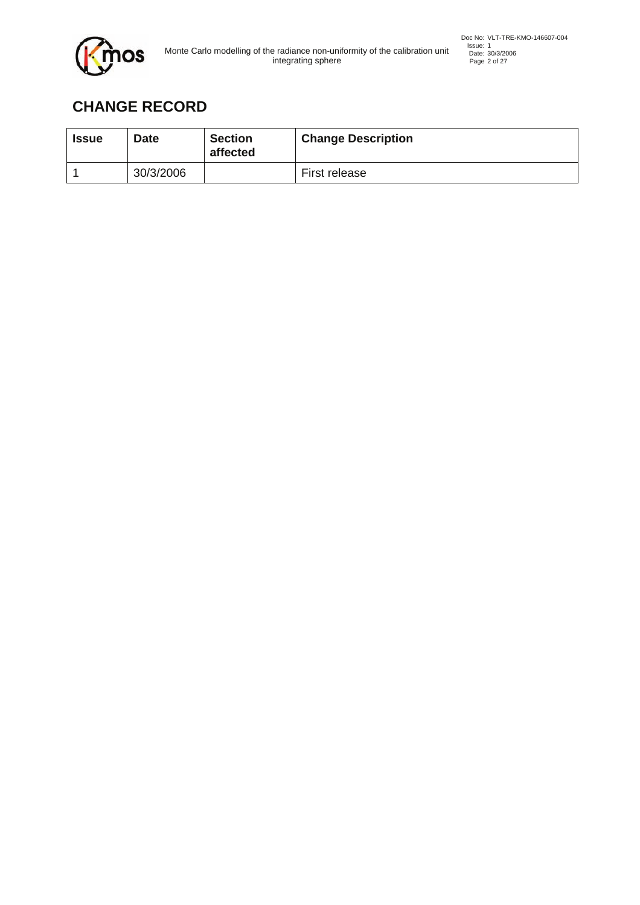

# **CHANGE RECORD**

| <b>Issue</b> | <b>Date</b> | <b>Section</b><br>affected | <b>Change Description</b> |
|--------------|-------------|----------------------------|---------------------------|
|              | 30/3/2006   |                            | First release             |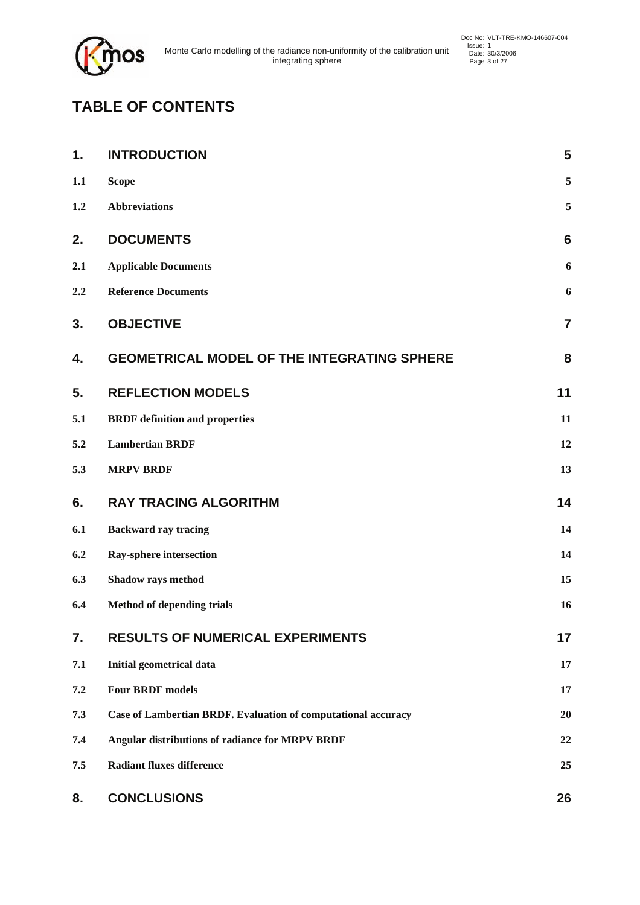

# **TABLE OF CONTENTS**

| 1.  | <b>INTRODUCTION</b>                                           | 5               |
|-----|---------------------------------------------------------------|-----------------|
| 1.1 | <b>Scope</b>                                                  | 5               |
| 1.2 | <b>Abbreviations</b>                                          | 5               |
| 2.  | <b>DOCUMENTS</b>                                              | $6\phantom{1}6$ |
| 2.1 | <b>Applicable Documents</b>                                   | 6               |
| 2.2 | <b>Reference Documents</b>                                    | 6               |
| 3.  | <b>OBJECTIVE</b>                                              | $\overline{7}$  |
| 4.  | <b>GEOMETRICAL MODEL OF THE INTEGRATING SPHERE</b>            | 8               |
| 5.  | <b>REFLECTION MODELS</b>                                      | 11              |
| 5.1 | <b>BRDF</b> definition and properties                         | 11              |
| 5.2 | <b>Lambertian BRDF</b>                                        | 12              |
| 5.3 | <b>MRPV BRDF</b>                                              | 13              |
| 6.  | <b>RAY TRACING ALGORITHM</b>                                  | 14              |
| 6.1 | <b>Backward ray tracing</b>                                   | 14              |
| 6.2 | Ray-sphere intersection                                       | 14              |
| 6.3 | Shadow rays method                                            | 15              |
| 6.4 | <b>Method of depending trials</b>                             | 16              |
| 7.  | <b>RESULTS OF NUMERICAL EXPERIMENTS</b>                       | 17              |
| 7.1 | Initial geometrical data                                      | 17              |
| 7.2 | <b>Four BRDF models</b>                                       | 17              |
| 7.3 | Case of Lambertian BRDF. Evaluation of computational accuracy | 20              |
| 7.4 | Angular distributions of radiance for MRPV BRDF               | 22              |
| 7.5 | <b>Radiant fluxes difference</b>                              | 25              |
| 8.  | <b>CONCLUSIONS</b>                                            | 26              |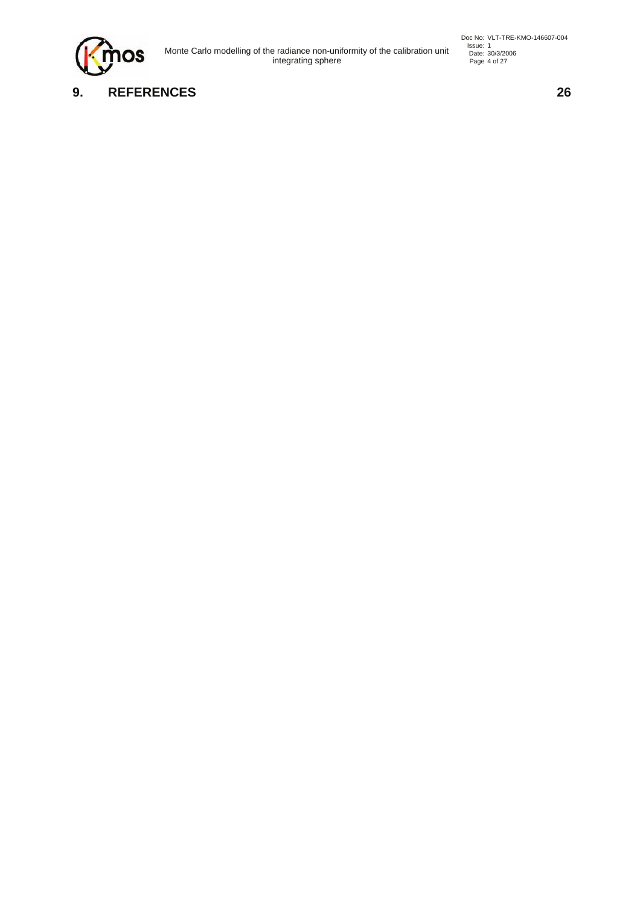

Issue: 1<br>Issue: 1 Issue: 30/3/2006<br>
integrating sphere page 4 of 27

Doc No: VLT-TRE-KMO-146607-004<br>
Issue: 1<br>
Date: 30/3/2006<br>
Page 4 of 27

## **9. REFERENCES 26**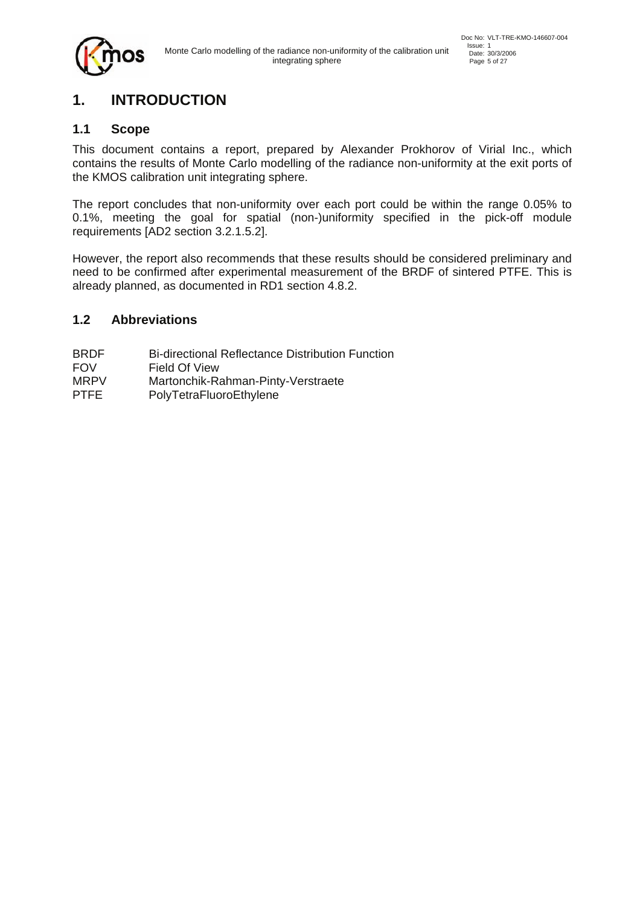# **1. INTRODUCTION**

### **1.1 Scope**

This document contains a report, prepared by Alexander Prokhorov of Virial Inc., which contains the results of Monte Carlo modelling of the radiance non-uniformity at the exit ports of the KMOS calibration unit integrating sphere.

The report concludes that non-uniformity over each port could be within the range 0.05% to 0.1%, meeting the goal for spatial (non-)uniformity specified in the pick-off module requirements [AD2 section 3.2.1.5.2].

However, the report also recommends that these results should be considered preliminary and need to be confirmed after experimental measurement of the BRDF of sintered PTFE. This is already planned, as documented in RD1 section 4.8.2.

#### **1.2 Abbreviations**

- BRDF Bi-directional Reflectance Distribution Function
- FOV Field Of View
- MRPV Martonchik-Rahman-Pinty-Verstraete
- PTFE PolyTetraFluoroEthylene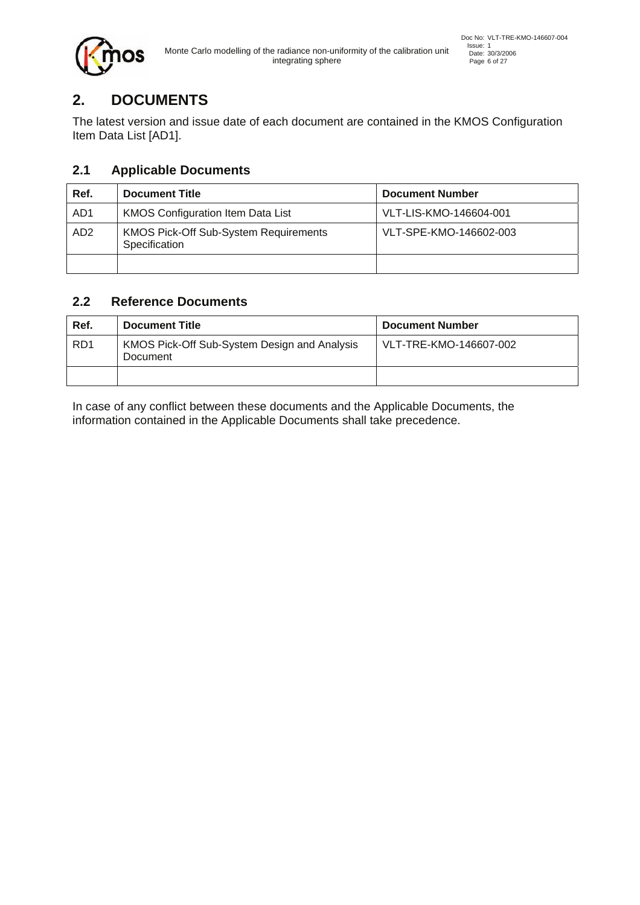

# **2. DOCUMENTS**

The latest version and issue date of each document are contained in the KMOS Configuration Item Data List [AD1].

## **2.1 Applicable Documents**

| Ref.            | <b>Document Title</b>                                         | <b>Document Number</b> |
|-----------------|---------------------------------------------------------------|------------------------|
| AD <sub>1</sub> | <b>KMOS Configuration Item Data List</b>                      | VLT-LIS-KMO-146604-001 |
| AD <sub>2</sub> | <b>KMOS Pick-Off Sub-System Requirements</b><br>Specification | VLT-SPE-KMO-146602-003 |
|                 |                                                               |                        |

## **2.2 Reference Documents**

| Ref.            | <b>Document Title</b>                                    | <b>Document Number</b> |
|-----------------|----------------------------------------------------------|------------------------|
| RD <sub>1</sub> | KMOS Pick-Off Sub-System Design and Analysis<br>Document | VLT-TRE-KMO-146607-002 |
|                 |                                                          |                        |

In case of any conflict between these documents and the Applicable Documents, the information contained in the Applicable Documents shall take precedence.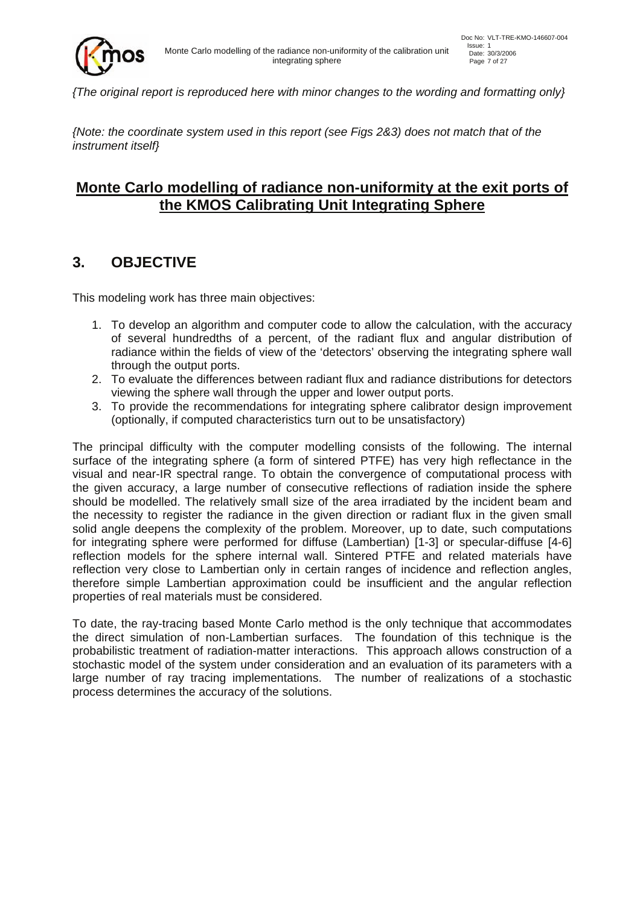

*{The original report is reproduced here with minor changes to the wording and formatting only}* 

*{Note: the coordinate system used in this report (see Figs 2&3) does not match that of the instrument itself}* 

## **Monte Carlo modelling of radiance non-uniformity at the exit ports of the KMOS Calibrating Unit Integrating Sphere**

## **3. OBJECTIVE**

This modeling work has three main objectives:

- 1. To develop an algorithm and computer code to allow the calculation, with the accuracy of several hundredths of a percent, of the radiant flux and angular distribution of radiance within the fields of view of the 'detectors' observing the integrating sphere wall through the output ports.
- 2. To evaluate the differences between radiant flux and radiance distributions for detectors viewing the sphere wall through the upper and lower output ports.
- 3. To provide the recommendations for integrating sphere calibrator design improvement (optionally, if computed characteristics turn out to be unsatisfactory)

The principal difficulty with the computer modelling consists of the following. The internal surface of the integrating sphere (a form of sintered PTFE) has very high reflectance in the visual and near-IR spectral range. To obtain the convergence of computational process with the given accuracy, a large number of consecutive reflections of radiation inside the sphere should be modelled. The relatively small size of the area irradiated by the incident beam and the necessity to register the radiance in the given direction or radiant flux in the given small solid angle deepens the complexity of the problem. Moreover, up to date, such computations for integrating sphere were performed for diffuse (Lambertian) [1-3] or specular-diffuse [4-6] reflection models for the sphere internal wall. Sintered PTFE and related materials have reflection very close to Lambertian only in certain ranges of incidence and reflection angles, therefore simple Lambertian approximation could be insufficient and the angular reflection properties of real materials must be considered.

To date, the ray-tracing based Monte Carlo method is the only technique that accommodates the direct simulation of non-Lambertian surfaces. The foundation of this technique is the probabilistic treatment of radiation-matter interactions. This approach allows construction of a stochastic model of the system under consideration and an evaluation of its parameters with a large number of ray tracing implementations. The number of realizations of a stochastic process determines the accuracy of the solutions.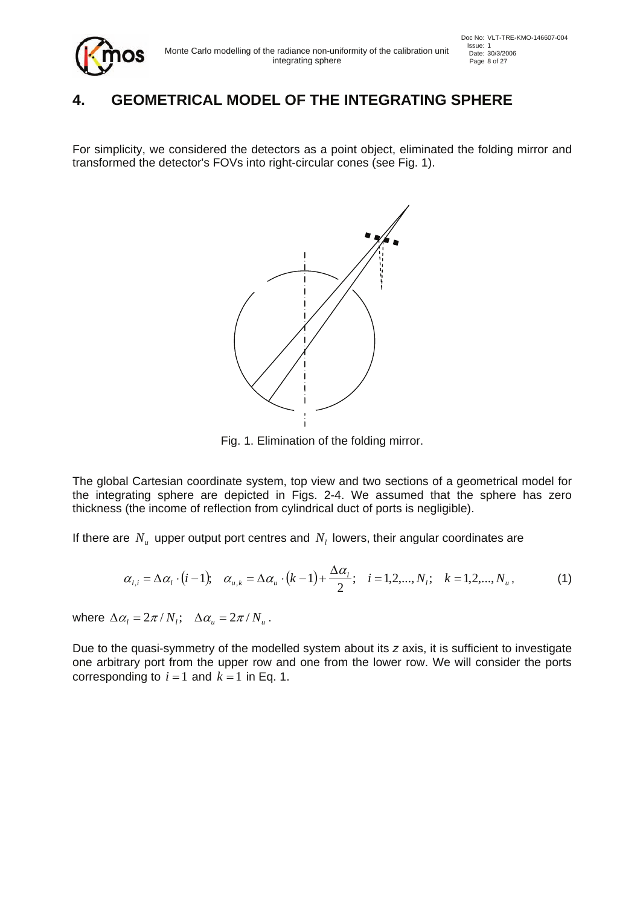# **4. GEOMETRICAL MODEL OF THE INTEGRATING SPHERE**

For simplicity, we considered the detectors as a point object, eliminated the folding mirror and transformed the detector's FOVs into right-circular cones (see Fig. 1).



Fig. 1. Elimination of the folding mirror.

The global Cartesian coordinate system, top view and two sections of a geometrical model for the integrating sphere are depicted in Figs. 2-4. We assumed that the sphere has zero thickness (the income of reflection from cylindrical duct of ports is negligible).

If there are  $N_{\mu}$  upper output port centres and  $N_{\mu}$  lowers, their angular coordinates are

$$
\alpha_{l,i} = \Delta \alpha_l \cdot (i-1); \quad \alpha_{u,k} = \Delta \alpha_u \cdot (k-1) + \frac{\Delta \alpha_l}{2}; \quad i = 1, 2, ..., N_l; \quad k = 1, 2, ..., N_u,
$$
 (1)

where  $\Delta \alpha_l = 2\pi / N_l$ ;  $\Delta \alpha_u = 2\pi / N_u$ .

Due to the quasi-symmetry of the modelled system about its *z* axis, it is sufficient to investigate one arbitrary port from the upper row and one from the lower row. We will consider the ports corresponding to  $i = 1$  and  $k = 1$  in Eq. 1.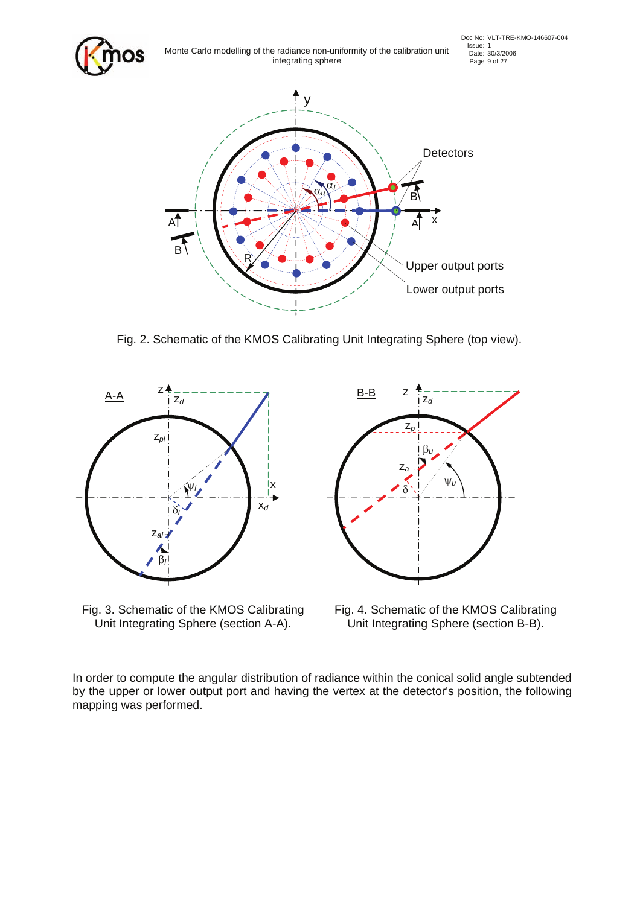

Fig. 2. Schematic of the KMOS Calibrating Unit Integrating Sphere (top view).



Fig. 3. Schematic of the KMOS Calibrating Unit Integrating Sphere (section A-A).



Fig. 4. Schematic of the KMOS Calibrating Unit Integrating Sphere (section B-B).

In order to compute the angular distribution of radiance within the conical solid angle subtended by the upper or lower output port and having the vertex at the detector's position, the following mapping was performed.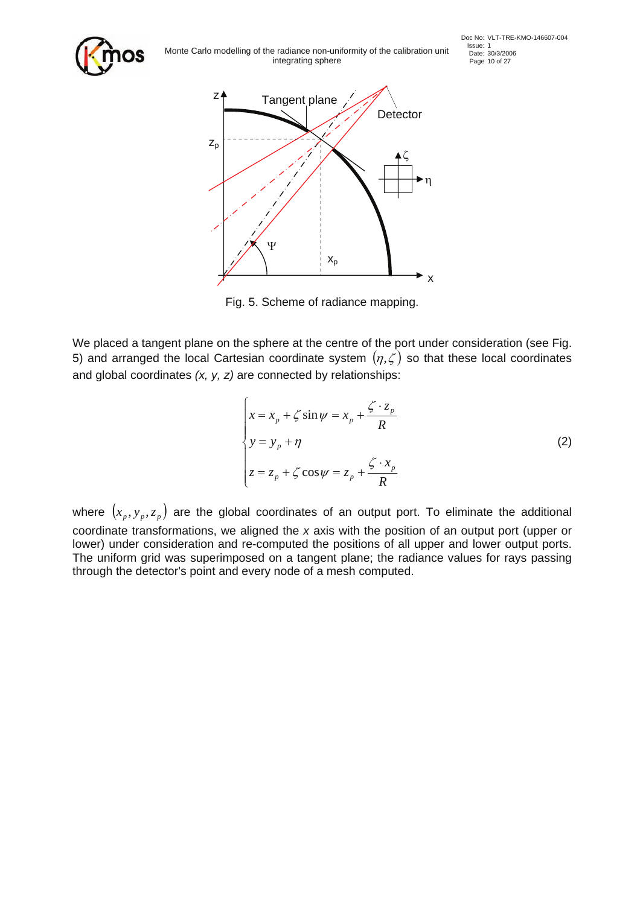

Issue: 1<br>Issue: 1 Issue: 30/3/2006<br>Integrating sphere<br>Page: 10 of 27 integrating sphere



Fig. 5. Scheme of radiance mapping.

We placed a tangent plane on the sphere at the centre of the port under consideration (see Fig. 5) and arranged the local Cartesian coordinate system  $(\eta,\zeta)$  so that these local coordinates and global coordinates *(x, y, z)* are connected by relationships:

$$
\begin{cases}\n x = x_p + \zeta \sin \psi = x_p + \frac{\zeta \cdot z_p}{R} \\
 y = y_p + \eta \\
 z = z_p + \zeta \cos \psi = z_p + \frac{\zeta \cdot x_p}{R}\n\end{cases}
$$
\n(2)

where  $(x_p, y_p, z_p)$  are the global coordinates of an output port. To eliminate the additional coordinate transformations, we aligned the *x* axis with the position of an output port (upper or lower) under consideration and re-computed the positions of all upper and lower output ports. The uniform grid was superimposed on a tangent plane; the radiance values for rays passing through the detector's point and every node of a mesh computed.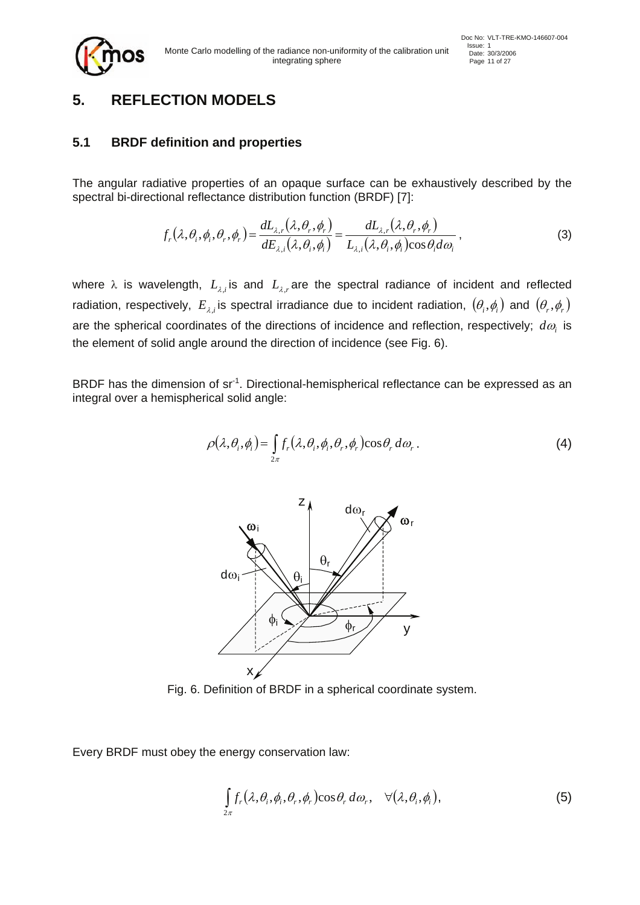

## **5. REFLECTION MODELS**

#### **5.1 BRDF definition and properties**

The angular radiative properties of an opaque surface can be exhaustively described by the spectral bi-directional reflectance distribution function (BRDF) [7]:

$$
f_r(\lambda, \theta_i, \phi_i, \theta_r, \phi_r) = \frac{dL_{\lambda,r}(\lambda, \theta_r, \phi_r)}{dE_{\lambda,i}(\lambda, \theta_i, \phi_i)} = \frac{dL_{\lambda,r}(\lambda, \theta_r, \phi_r)}{L_{\lambda,i}(\lambda, \theta_i, \phi_i)\cos\theta_i d\omega_i},
$$
\n(3)

where  $\lambda$  is wavelength,  $L_{\lambda,i}$  is and  $L_{\lambda,r}$  are the spectral radiance of incident and reflected radiation, respectively,  $E_{\lambda,i}$  is spectral irradiance due to incident radiation,  $(\theta_i, \phi_i)$  and  $(\theta_r, \phi_r)$ are the spherical coordinates of the directions of incidence and reflection, respectively; *d*<sup>ω</sup>*i* is the element of solid angle around the direction of incidence (see Fig. 6).

BRDF has the dimension of sr<sup>-1</sup>. Directional-hemispherical reflectance can be expressed as an integral over a hemispherical solid angle:

$$
\rho(\lambda,\theta_i,\phi_i) = \int_{2\pi} f_r(\lambda,\theta_i,\phi_i,\theta_r,\phi_r) \cos\theta_r d\omega_r.
$$
 (4)



Fig. 6. Definition of BRDF in a spherical coordinate system.

Every BRDF must obey the energy conservation law:

$$
\int_{2\pi} f_r(\lambda, \theta_i, \phi_i, \theta_r, \phi_r) \cos \theta_r d\omega_r, \quad \forall (\lambda, \theta_i, \phi_i), \tag{5}
$$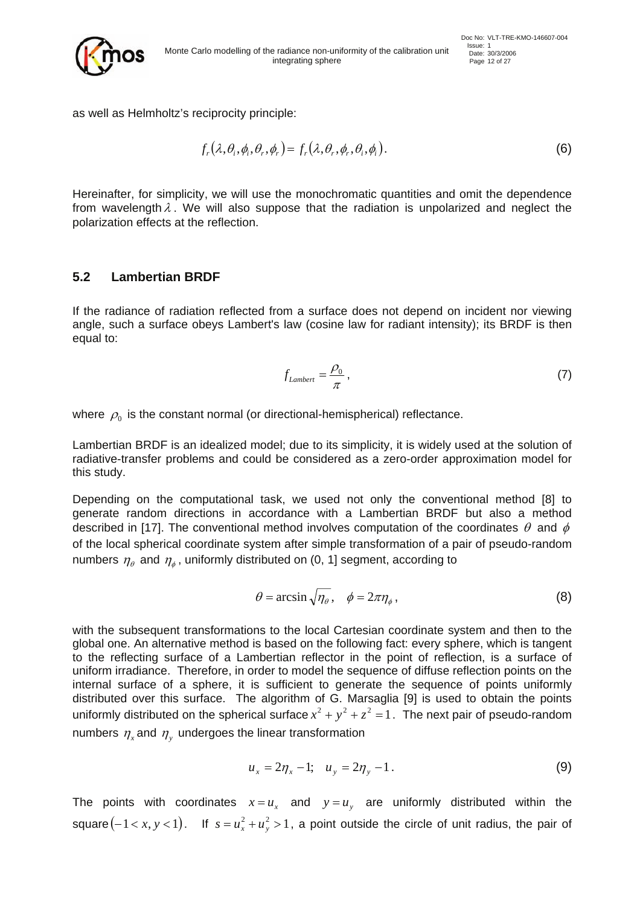

Issue: 1<br>Monte Carlo modelling of the radiance non-uniformity of the calibration unit Date: 30/3/2006 integrating sphere Page 12 of 27

as well as Helmholtz's reciprocity principle:

$$
f_r(\lambda, \theta_i, \phi_i, \theta_r, \phi_r) = f_r(\lambda, \theta_r, \phi_r, \theta_i, \phi_i).
$$
 (6)

Hereinafter, for simplicity, we will use the monochromatic quantities and omit the dependence from wavelength  $\lambda$ . We will also suppose that the radiation is unpolarized and neglect the polarization effects at the reflection.

#### **5.2 Lambertian BRDF**

If the radiance of radiation reflected from a surface does not depend on incident nor viewing angle, such a surface obeys Lambert's law (cosine law for radiant intensity); its BRDF is then equal to:

$$
f_{Lambert} = \frac{\rho_0}{\pi} \,,\tag{7}
$$

where  $\rho_0$  is the constant normal (or directional-hemispherical) reflectance.

Lambertian BRDF is an idealized model; due to its simplicity, it is widely used at the solution of radiative-transfer problems and could be considered as a zero-order approximation model for this study.

Depending on the computational task, we used not only the conventional method [8] to generate random directions in accordance with a Lambertian BRDF but also a method described in [17]. The conventional method involves computation of the coordinates  $\theta$  and  $\phi$ of the local spherical coordinate system after simple transformation of a pair of pseudo-random numbers  $\eta_{\theta}$  and  $\eta_{\phi}$ , uniformly distributed on (0, 1] segment, according to

$$
\theta = \arcsin\sqrt{\eta_{\theta}}, \quad \phi = 2\pi\eta_{\phi}, \tag{8}
$$

with the subsequent transformations to the local Cartesian coordinate system and then to the global one. An alternative method is based on the following fact: every sphere, which is tangent to the reflecting surface of a Lambertian reflector in the point of reflection, is a surface of uniform irradiance. Therefore, in order to model the sequence of diffuse reflection points on the internal surface of a sphere, it is sufficient to generate the sequence of points uniformly distributed over this surface. The algorithm of G. Marsaglia [9] is used to obtain the points uniformly distributed on the spherical surface  $x^2 + y^2 + z^2 = 1$ . The next pair of pseudo-random numbers  $\eta_r$  and  $\eta_v$  undergoes the linear transformation

$$
u_x = 2\eta_x - 1; \quad u_y = 2\eta_y - 1. \tag{9}
$$

The points with coordinates  $x = u_x$  and  $y = u_y$  are uniformly distributed within the square  $(-1 < x, y < 1)$ . If  $s = u_x^2 + u_y^2 > 1$ , a point outside the circle of unit radius, the pair of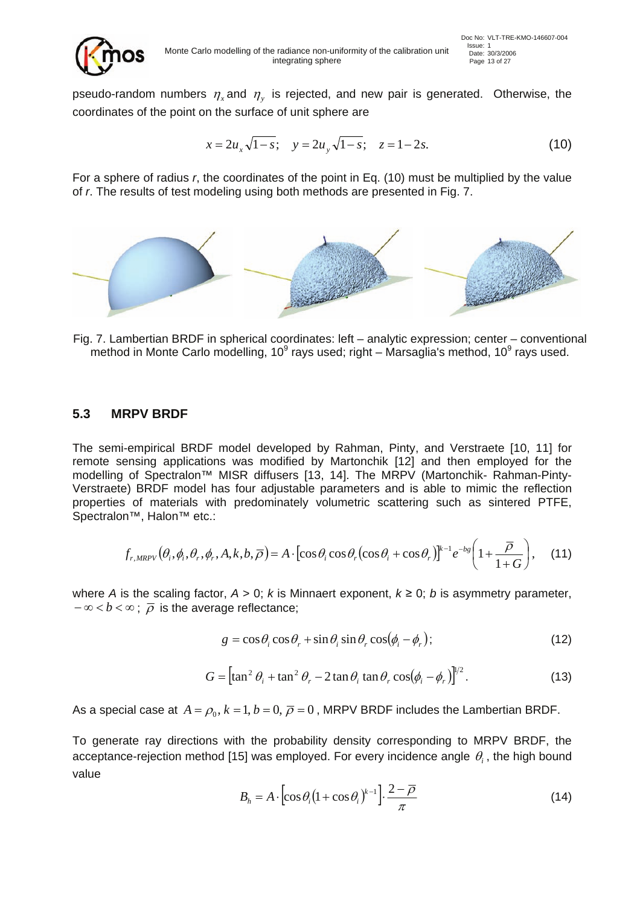

pseudo-random numbers  $\eta_r$  and  $\eta_v$  is rejected, and new pair is generated. Otherwise, the coordinates of the point on the surface of unit sphere are

$$
x = 2u_x\sqrt{1-s}; \quad y = 2u_y\sqrt{1-s}; \quad z = 1-2s.
$$
 (10)

For a sphere of radius *r*, the coordinates of the point in Eq. (10) must be multiplied by the value of *r*. The results of test modeling using both methods are presented in Fig. 7.



Fig. 7. Lambertian BRDF in spherical coordinates: left – analytic expression; center – conventional method in Monte Carlo modelling, 10<sup>9</sup> rays used; right – Marsaglia's method, 10<sup>9</sup> rays used.

#### **5.3 MRPV BRDF**

The semi-empirical BRDF model developed by Rahman, Pinty, and Verstraete [10, 11] for remote sensing applications was modified by Martonchik [12] and then employed for the modelling of Spectralon™ MISR diffusers [13, 14]. The MRPV (Martonchik- Rahman-Pinty-Verstraete) BRDF model has four adjustable parameters and is able to mimic the reflection properties of materials with predominately volumetric scattering such as sintered PTFE, Spectralon™, Halon™ etc.:

$$
f_{r,MRPV}(\theta_i, \phi_i, \theta_r, \phi_r, A, k, b, \overline{\rho}) = A \cdot [\cos \theta_i \cos \theta_r (\cos \theta_i + \cos \theta_r)]^{k-1} e^{-bg} \left(1 + \frac{\overline{\rho}}{1 + G}\right), \quad (11)
$$

where *A* is the scaling factor,  $A > 0$ ; *k* is Minnaert exponent,  $k \ge 0$ ; *b* is asymmetry parameter,  $-\infty < b < \infty$ ;  $\overline{\rho}$  is the average reflectance;

$$
g = \cos \theta_i \cos \theta_r + \sin \theta_i \sin \theta_r \cos(\phi_i - \phi_r); \qquad (12)
$$

$$
G = \left[ \tan^2 \theta_i + \tan^2 \theta_r - 2 \tan \theta_i \tan \theta_r \cos(\phi_i - \phi_r) \right]^{1/2}.
$$
 (13)

As a special case at  $A = \rho_0, k = 1, b = 0, \overline{\rho} = 0$ , MRPV BRDF includes the Lambertian BRDF.

To generate ray directions with the probability density corresponding to MRPV BRDF, the acceptance-rejection method [15] was employed. For every incidence angle  $\theta_i$ , the high bound value

$$
B_h = A \cdot \left[ \cos \theta_i \left( 1 + \cos \theta_i \right)^{k-1} \right] \cdot \frac{2 - \overline{\rho}}{\pi}
$$
 (14)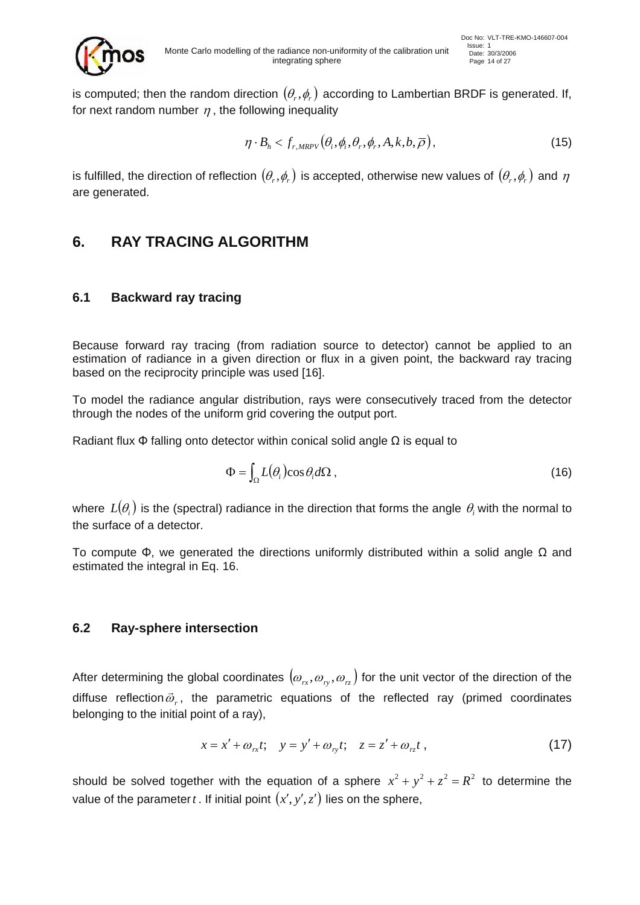

is computed; then the random direction  $(\theta_r, \phi_r)$  according to Lambertian BRDF is generated. If, for next random number  $\eta$ , the following inequality

$$
\eta \cdot B_h < f_{r,MRPV} \left( \theta_i, \phi_i, \theta_r, \phi_r, A, k, b, \overline{\rho} \right),\tag{15}
$$

is fulfilled, the direction of reflection  $(\theta_r, \phi_r)$  is accepted, otherwise new values of  $(\theta_r, \phi_r)$  and  $\eta$ are generated.

## **6. RAY TRACING ALGORITHM**

### **6.1 Backward ray tracing**

Because forward ray tracing (from radiation source to detector) cannot be applied to an estimation of radiance in a given direction or flux in a given point, the backward ray tracing based on the reciprocity principle was used [16].

To model the radiance angular distribution, rays were consecutively traced from the detector through the nodes of the uniform grid covering the output port.

Radiant flux  $\Phi$  falling onto detector within conical solid angle  $\Omega$  is equal to

$$
\Phi = \int_{\Omega} L(\theta_i) \cos \theta_i d\Omega , \qquad (16)
$$

where  $L(\theta_i)$  is the (spectral) radiance in the direction that forms the angle  $\theta_i$  with the normal to the surface of a detector.

To compute Φ, we generated the directions uniformly distributed within a solid angle Ω and estimated the integral in Eq. 16.

#### **6.2 Ray-sphere intersection**

After determining the global coordinates  $(\omega_{rx}, \omega_{ry}, \omega_{rz})$  for the unit vector of the direction of the diffuse reflection  $\vec{\omega}_r$ , the parametric equations of the reflected ray (primed coordinates belonging to the initial point of a ray),

$$
x = x' + \omega_{rx}t; \quad y = y' + \omega_{ry}t; \quad z = z' + \omega_{rz}t , \tag{17}
$$

should be solved together with the equation of a sphere  $x^2 + y^2 + z^2 = R^2$  to determine the value of the parameter *t*. If initial point  $(x', y', z')$  lies on the sphere,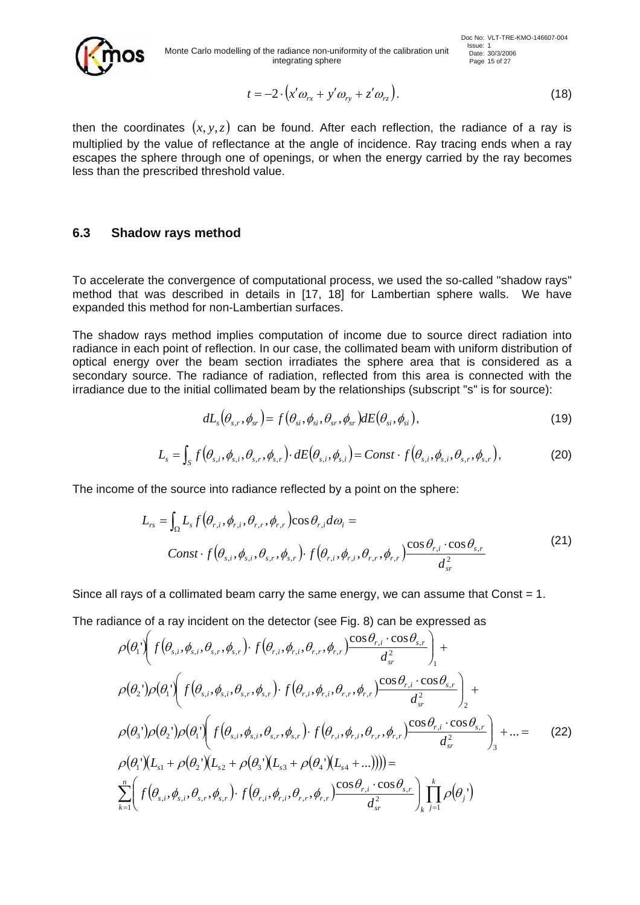

$$
t = -2 \cdot \left( x' \omega_{rx} + y' \omega_{ry} + z' \omega_{rz} \right). \tag{18}
$$

then the coordinates  $(x, y, z)$  can be found. After each reflection, the radiance of a ray is multiplied by the value of reflectance at the angle of incidence. Ray tracing ends when a ray escapes the sphere through one of openings, or when the energy carried by the ray becomes less than the prescribed threshold value.

#### **6.3 Shadow rays method**

To accelerate the convergence of computational process, we used the so-called "shadow rays" method that was described in details in [17, 18] for Lambertian sphere walls. We have expanded this method for non-Lambertian surfaces.

The shadow rays method implies computation of income due to source direct radiation into radiance in each point of reflection. In our case, the collimated beam with uniform distribution of optical energy over the beam section irradiates the sphere area that is considered as a secondary source. The radiance of radiation, reflected from this area is connected with the irradiance due to the initial collimated beam by the relationships (subscript "s" is for source):

$$
dL_s(\theta_{s,r}, \phi_{sr}) = f(\theta_{si}, \phi_{si}, \theta_{sr}, \phi_{sr}) dE(\theta_{si}, \phi_{si}),
$$
\n(19)

$$
L_s = \int_S f\big(\theta_{s,i}, \phi_{s,i}, \theta_{s,r}, \phi_{s,r}\big) \cdot dE\big(\theta_{s,i}, \phi_{s,i}\big) = Const \cdot f\big(\theta_{s,i}, \phi_{s,i}, \theta_{s,r}, \phi_{s,r}\big),\tag{20}
$$

The income of the source into radiance reflected by a point on the sphere:

$$
L_{rs} = \int_{\Omega} L_s f(\theta_{r,i}, \phi_{r,i}, \theta_{r,r}, \phi_{r,r}) \cos \theta_{r,i} d\omega_i =
$$
  
\n
$$
Const \cdot f(\theta_{s,i}, \phi_{s,i}, \theta_{s,r}, \phi_{s,r}) \cdot f(\theta_{r,i}, \phi_{r,i}, \theta_{r,r}, \phi_{r,r}) \frac{\cos \theta_{r,i} \cdot \cos \theta_{s,r}}{d_{sr}^2}
$$
 (21)

Since all rays of a collimated beam carry the same energy, we can assume that Const  $= 1$ .

The radiance of a ray incident on the detector (see Fig. 8) can be expressed as

$$
\rho(\theta_{1}^{'})(f(\theta_{s,i},\theta_{s,r},\phi_{s,r})\cdot f(\theta_{r,i},\phi_{r,r},\phi_{r,r})\frac{\cos\theta_{r,i}\cdot\cos\theta_{s,r}}{d_{sr}^{2}}) +
$$
\n
$$
\rho(\theta_{2}^{'})\rho(\theta_{1}^{'})(f(\theta_{s,i},\phi_{s,i},\theta_{s,r},\phi_{s,r})\cdot f(\theta_{r,i},\phi_{r,i},\theta_{r,r},\phi_{r,r})\frac{\cos\theta_{r,i}\cdot\cos\theta_{s,r}}{d_{sr}^{2}}) +
$$
\n
$$
\rho(\theta_{3}^{'})\rho(\theta_{2}^{'})\rho(\theta_{1}^{'})(f(\theta_{s,i},\phi_{s,i},\theta_{s,r},\phi_{s,r})\cdot f(\theta_{r,i},\phi_{r,i},\theta_{r,r},\phi_{r,r})\frac{\cos\theta_{r,i}\cdot\cos\theta_{s,r}}{d_{sr}^{2}}) + ... = (22)
$$
\n
$$
\rho(\theta_{1}^{'})(L_{s1} + \rho(\theta_{2}^{'})(L_{s2} + \rho(\theta_{3}^{'})(L_{s3} + \rho(\theta_{4}^{'})(L_{s4} + ...)))) =
$$
\n
$$
\sum_{k=1}^{n} \left(f(\theta_{s,i},\phi_{s,i},\theta_{s,r},\phi_{s,r})\cdot f(\theta_{r,i},\phi_{r,i},\theta_{r,r},\phi_{r,r})\frac{\cos\theta_{r,i}\cdot\cos\theta_{s,r}}{d_{sr}^{2}}\right)\prod_{k=1}^{k} \rho(\theta_{j}^{'})
$$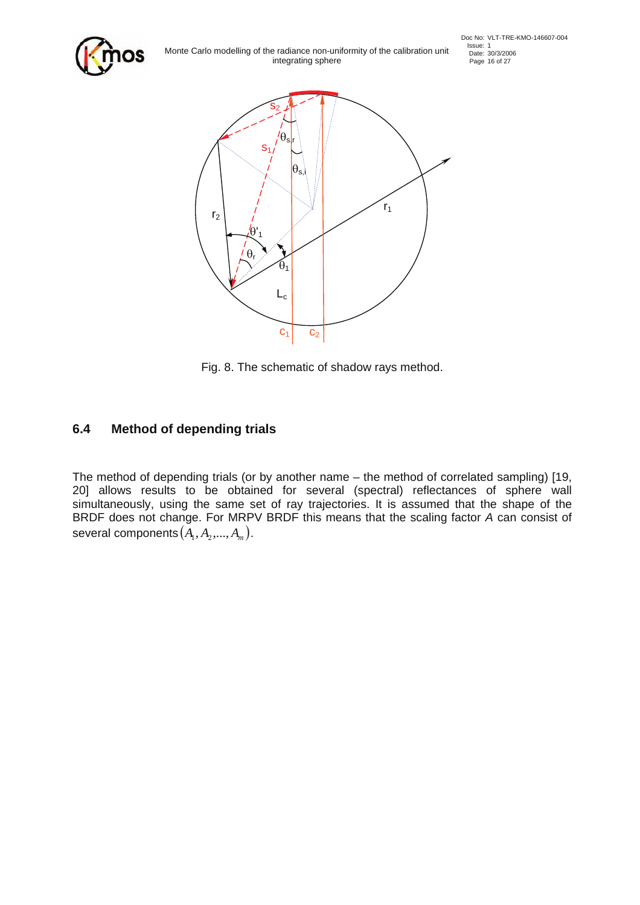

Issue: 1<br>Issue: 1 Issue: 30/3/2006<br>Integrating sphere<br>Page 16 of 27 integrating sphere



Fig. 8. The schematic of shadow rays method.

### **6.4 Method of depending trials**

The method of depending trials (or by another name – the method of correlated sampling) [19, 20] allows results to be obtained for several (spectral) reflectances of sphere wall simultaneously, using the same set of ray trajectories. It is assumed that the shape of the BRDF does not change. For MRPV BRDF this means that the scaling factor *A* can consist of several components  $(A_1, A_2, ..., A_m)$ .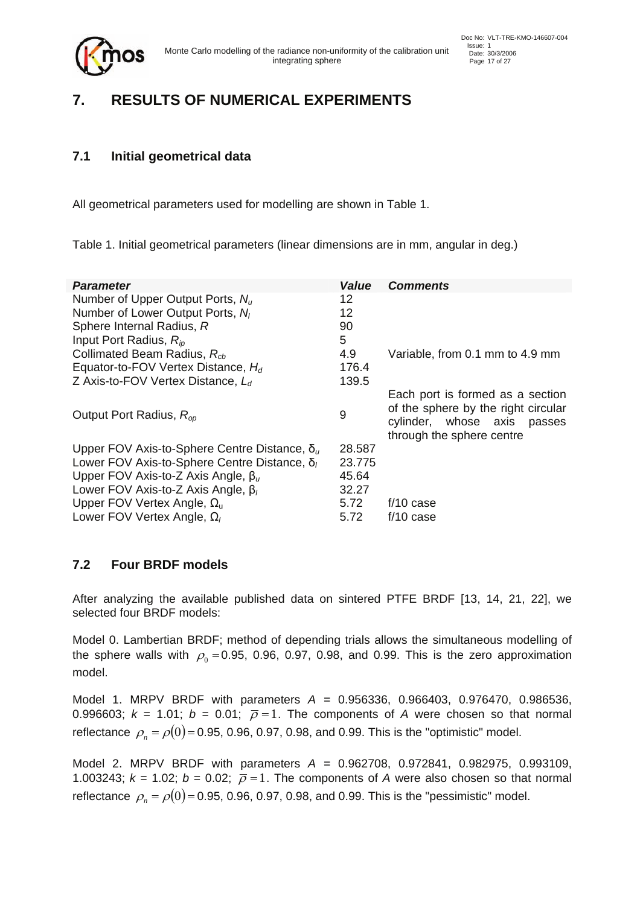

# **7. RESULTS OF NUMERICAL EXPERIMENTS**

### **7.1 Initial geometrical data**

All geometrical parameters used for modelling are shown in Table 1.

Table 1. Initial geometrical parameters (linear dimensions are in mm, angular in deg.)

| <b>Parameter</b>                                     | <b>Value</b> | <b>Comments</b>                                                                                                                     |
|------------------------------------------------------|--------------|-------------------------------------------------------------------------------------------------------------------------------------|
| Number of Upper Output Ports, $N_u$                  | 12           |                                                                                                                                     |
| Number of Lower Output Ports, N <sub>I</sub>         | 12           |                                                                                                                                     |
| Sphere Internal Radius, R                            | 90           |                                                                                                                                     |
| Input Port Radius, $R_{io}$                          | 5            |                                                                                                                                     |
| Collimated Beam Radius, R <sub>ch</sub>              | 4.9          | Variable, from 0.1 mm to 4.9 mm                                                                                                     |
| Equator-to-FOV Vertex Distance, $H_d$                | 176.4        |                                                                                                                                     |
| Z Axis-to-FOV Vertex Distance, $L_d$                 | 139.5        |                                                                                                                                     |
| Output Port Radius, $R_{op}$                         | 9            | Each port is formed as a section<br>of the sphere by the right circular<br>cylinder, whose axis passes<br>through the sphere centre |
| Upper FOV Axis-to-Sphere Centre Distance, $\delta_u$ | 28.587       |                                                                                                                                     |
| Lower FOV Axis-to-Sphere Centre Distance, $\delta_l$ | 23.775       |                                                                                                                                     |
| Upper FOV Axis-to-Z Axis Angle, $\beta_u$            | 45.64        |                                                                                                                                     |
| Lower FOV Axis-to-Z Axis Angle, $\beta$              | 32.27        |                                                                                                                                     |
| Upper FOV Vertex Angle, $\Omega_{\rm u}$             | 5.72         | $f/10$ case                                                                                                                         |
| Lower FOV Vertex Angle, $\Omega_l$                   | 5.72         | $f/10$ case                                                                                                                         |

#### **7.2 Four BRDF models**

After analyzing the available published data on sintered PTFE BRDF [13, 14, 21, 22], we selected four BRDF models:

Model 0. Lambertian BRDF; method of depending trials allows the simultaneous modelling of the sphere walls with  $\rho_0 = 0.95$ , 0.96, 0.97, 0.98, and 0.99. This is the zero approximation model.

Model 1. MRPV BRDF with parameters *A* = 0.956336, 0.966403, 0.976470, 0.986536, 0.996603;  $k = 1.01$ ;  $b = 0.01$ ;  $\overline{p} = 1$ . The components of A were chosen so that normal reflectance  $\rho_n = \rho(0) = 0.95, 0.96, 0.97, 0.98,$  and 0.99. This is the "optimistic" model.

Model 2. MRPV BRDF with parameters *A* = 0.962708, 0.972841, 0.982975, 0.993109, 1.003243;  $k = 1.02$ ;  $b = 0.02$ ;  $\bar{p} = 1$ . The components of A were also chosen so that normal reflectance  $\rho_n = \rho(0) = 0.95, 0.96, 0.97, 0.98,$  and 0.99. This is the "pessimistic" model.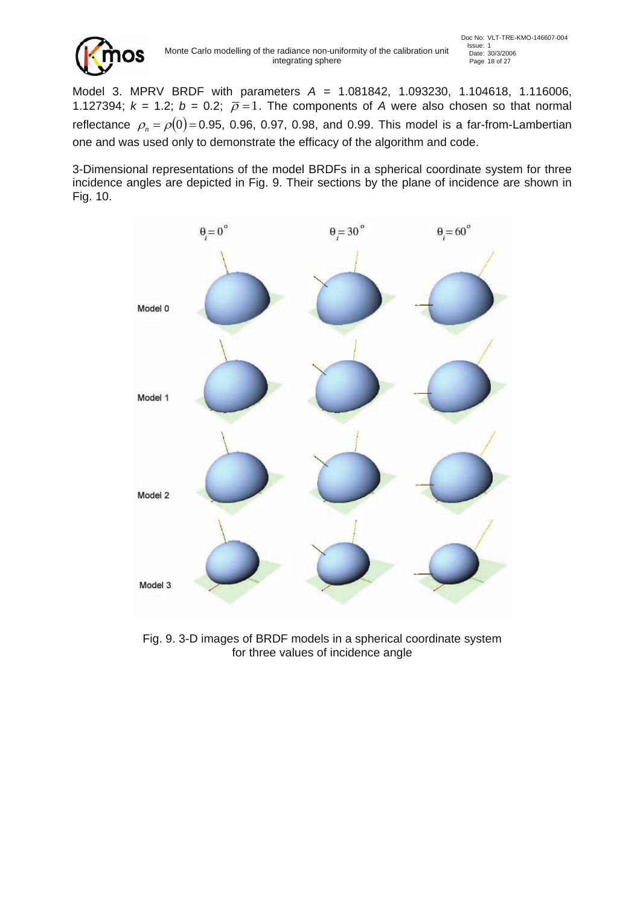

Model 3. MPRV BRDF with parameters *A* = 1.081842, 1.093230, 1.104618, 1.116006, 1.127394;  $k = 1.2$ ;  $b = 0.2$ ;  $\bar{p} = 1$ . The components of A were also chosen so that normal reflectance  $\rho_n = \rho(0) = 0.95, 0.96, 0.97, 0.98,$  and 0.99. This model is a far-from-Lambertian one and was used only to demonstrate the efficacy of the algorithm and code.

3-Dimensional representations of the model BRDFs in a spherical coordinate system for three incidence angles are depicted in Fig. 9. Their sections by the plane of incidence are shown in Fig. 10.



Fig. 9. 3-D images of BRDF models in a spherical coordinate system for three values of incidence angle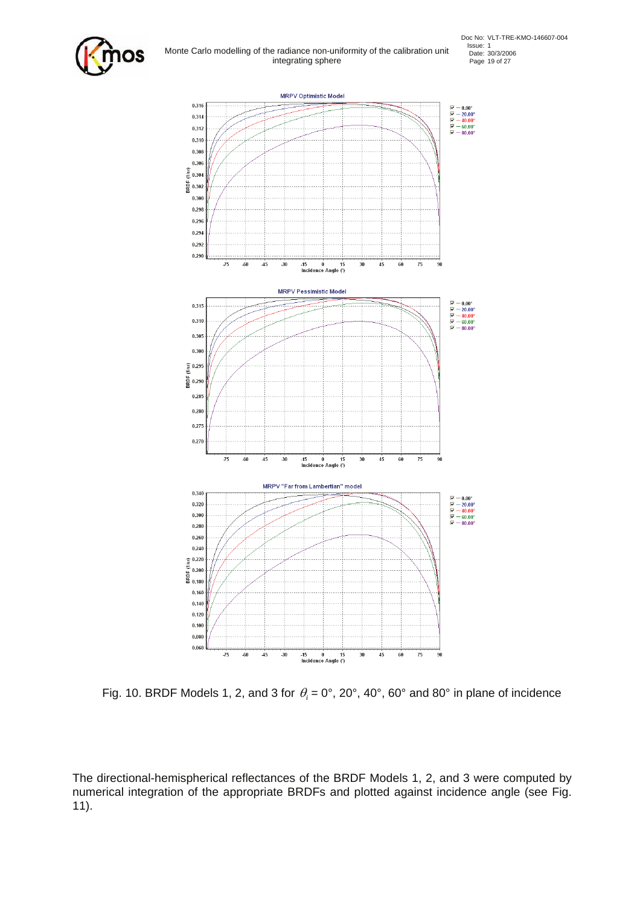

Fig. 10. BRDF Models 1, 2, and 3 for  $\theta_i = 0^\circ$ , 20°, 40°, 60° and 80° in plane of incidence

The directional-hemispherical reflectances of the BRDF Models 1, 2, and 3 were computed by numerical integration of the appropriate BRDFs and plotted against incidence angle (see Fig. 11).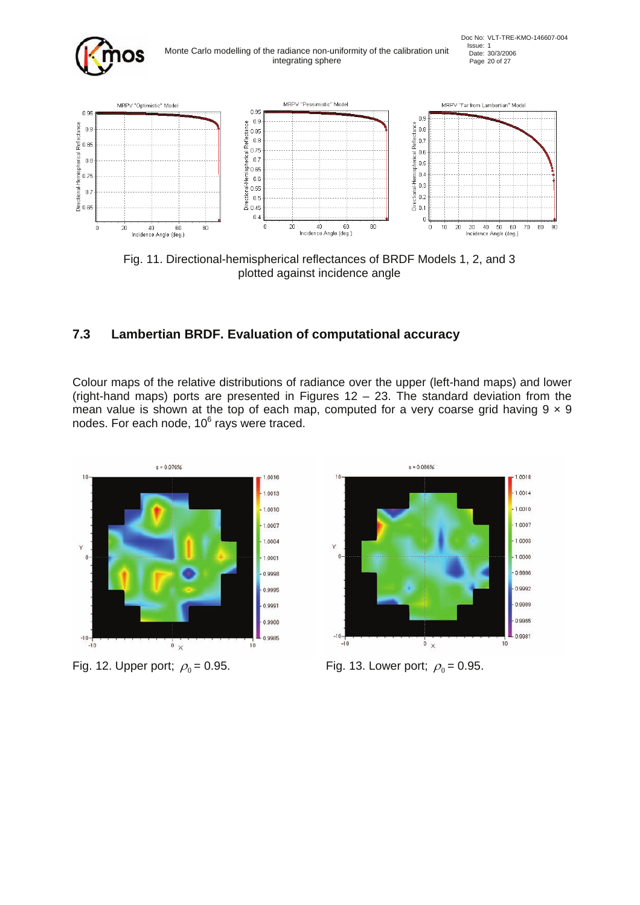

Fig. 11. Directional-hemispherical reflectances of BRDF Models 1, 2, and 3 plotted against incidence angle

### **7.3 Lambertian BRDF. Evaluation of computational accuracy**

Colour maps of the relative distributions of radiance over the upper (left-hand maps) and lower (right-hand maps) ports are presented in Figures  $12 - 23$ . The standard deviation from the mean value is shown at the top of each map, computed for a very coarse grid having  $9 \times 9$ nodes. For each node,  $10^6$  rays were traced.



Fig. 12. Upper port;  $\rho_0 = 0.95$ . Fig. 13. Lower port;  $\rho_0 = 0.95$ .

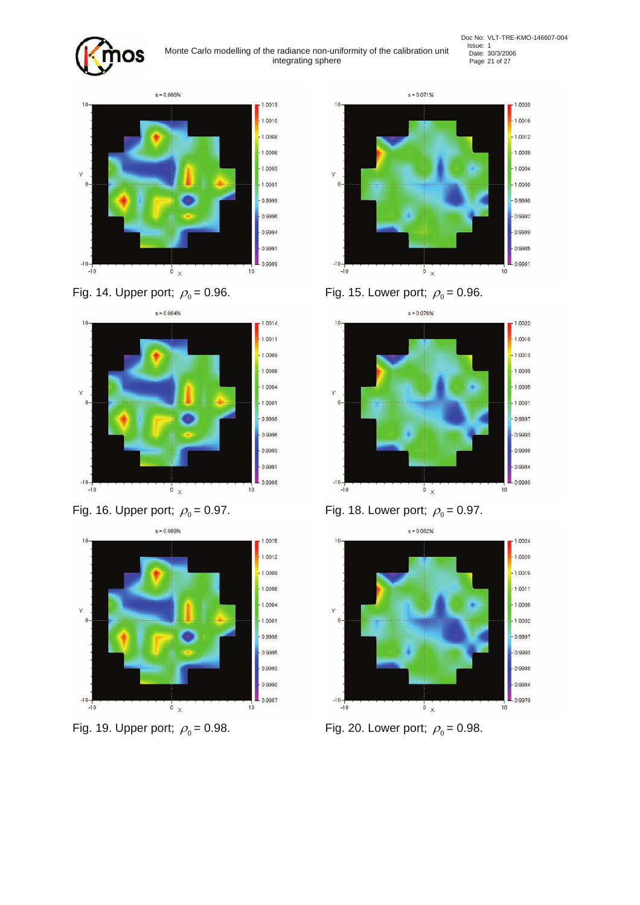

Issue: 1<br>Issue: 1<br>Idea: 103/2006<br>Page 21 of 27 integrating sphere















Fig. 14. Upper port;  $\rho_0 = 0.96$ . Fig. 15. Lower port;  $\rho_0 = 0.96$ .



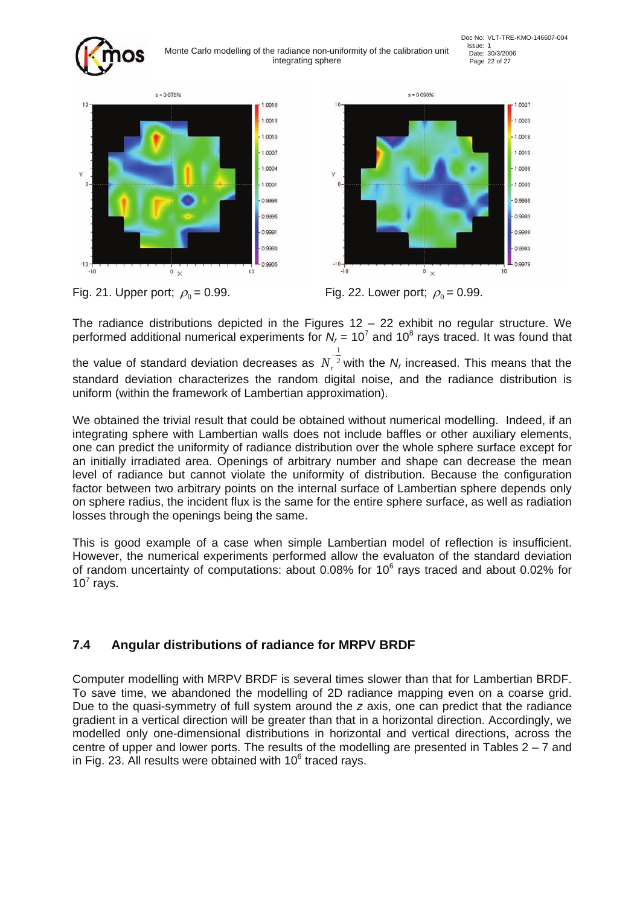



1.0027





Fig. 21. Upper port;  $\rho_0 = 0.99$ . Fig. 22. Lower port;  $\rho_0 = 0.99$ .

The radiance distributions depicted in the Figures  $12 - 22$  exhibit no regular structure. We performed additional numerical experiments for  $N_r$  = 10<sup>7</sup> and 10<sup>8</sup> rays traced. It was found that

the value of standard deviation decreases as  $N_r^2$  $\frac{1}{2}$  $N_r^2$  with the  $N_r$  increased. This means that the standard deviation characterizes the random digital noise, and the radiance distribution is uniform (within the framework of Lambertian approximation).

We obtained the trivial result that could be obtained without numerical modelling. Indeed, if an integrating sphere with Lambertian walls does not include baffles or other auxiliary elements, one can predict the uniformity of radiance distribution over the whole sphere surface except for an initially irradiated area. Openings of arbitrary number and shape can decrease the mean level of radiance but cannot violate the uniformity of distribution. Because the configuration factor between two arbitrary points on the internal surface of Lambertian sphere depends only on sphere radius, the incident flux is the same for the entire sphere surface, as well as radiation losses through the openings being the same.

This is good example of a case when simple Lambertian model of reflection is insufficient. However, the numerical experiments performed allow the evaluaton of the standard deviation of random uncertainty of computations: about 0.08% for 10 $^6$  rays traced and about 0.02% for  $10^7$  rays.

## **7.4 Angular distributions of radiance for MRPV BRDF**

Computer modelling with MRPV BRDF is several times slower than that for Lambertian BRDF. To save time, we abandoned the modelling of 2D radiance mapping even on a coarse grid. Due to the quasi-symmetry of full system around the *z* axis, one can predict that the radiance gradient in a vertical direction will be greater than that in a horizontal direction. Accordingly, we modelled only one-dimensional distributions in horizontal and vertical directions, across the centre of upper and lower ports. The results of the modelling are presented in Tables  $2 - 7$  and in Fig. 23. All results were obtained with  $10^6$  traced rays.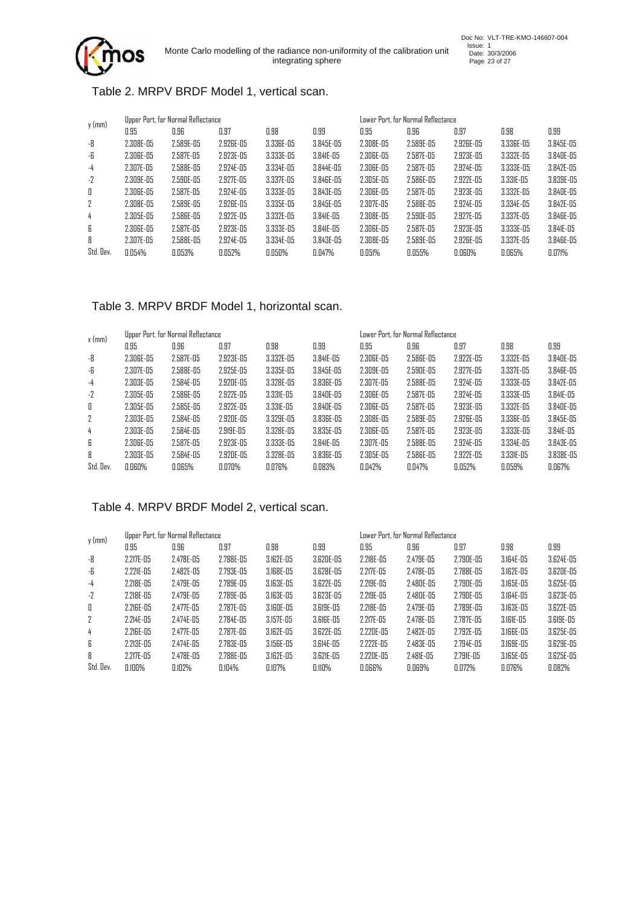#### Table 2. MRPV BRDF Model 1, vertical scan.

| $y$ (mm)     |               | Upper Port, for Normal Reflectance |           |               |               | Lower Port, for Normal Reflectance. |                |           |                |               |
|--------------|---------------|------------------------------------|-----------|---------------|---------------|-------------------------------------|----------------|-----------|----------------|---------------|
|              | 0.95          | 0.96                               | 0.97      | 0.98          | 0.99          | 0.95                                | 0.96           | 0.97      | 0.98           | 0.99          |
| -8           | $2.308E - 05$ | $2.589E - 05$                      | 2.926E-05 | 3.336E-05     | $3.845E - 05$ | $2.308E - 05$                       | $2.589E - 05$  | 2.926E-05 | 3.336E-05      | $3.845E - 05$ |
| -6           | $2.306E-05$   | $2.587E - 05$                      | 2.923E-05 | $3.333E - 05$ | 3.841E-05     | 2.306E-05                           | $2.587E - 05$  | 2.923E-05 | 3.332E-05      | 3.840E-05     |
| $-4$         | 2.307E-05     | $2.588E - 0.5$                     | 2.924E-05 | $3.334E - 05$ | 3.844E-05     | $2.306E - 05$                       | 2.587E-05      | 2.924E-05 | $3.333E - 05$  | 3.842E-05     |
| $-2$         | $2.309E-05$   | $2.590E-05$                        | 2.927E-05 | 3.337E-05     | 3.846E-05     | $2.305E - 05$                       | 2.586E-05      | 2.922E-05 | 3.331E-05      | $3.839E - 05$ |
| $\mathbb{I}$ | $2.306E-05$   | 2.587E-05                          | 2.924E-05 | $3.333E - 05$ | 3.843E-05     | $2.306E-05$                         | 2.587E-05      | 2.923E-05 | 3.332E-05      | 3.840E-05     |
| 2            | $2.308E - 05$ | $2.589E - 05$                      | 2.926E-05 | $3.335E - 05$ | 3.845E-05     | 2.307E-05                           | 2.588E-05      | 2.924E-05 | 3.334E-05      | 3.842E-05     |
| 4            | $2.305E - 05$ | $2.586E - 05$                      | 2.922E-05 | 3.332E-05     | 3.841E-05     | $2.308E - 0.5$                      | 2.590E-05      | 2.927E-05 | $3.337E - 0.5$ | 3.846E-05     |
| 6            | 2.306E-05     | 2.587E-05                          | 2.923E-05 | $3.333E - 05$ | 3.841E-05     | $2.306E-05$                         | $2.587E - 0.5$ | 2.923E-05 | $3.333E - 05$  | $3.84$ IE-05  |
| 8            | 2.307E-05     | $2.588E - 05$                      | 2.924E-05 | 3.334E-05     | $3.843E - 05$ | $2.308E - 05$                       | $2.589E - 0.5$ | 2.926E-05 | $3.337E - 05$  | 3.846E-05     |
| Std. Dev.    | 0.054%        | 0.053%                             | 0.052%    | 0.050%        | 0.047%        | 0.051%                              | 0.055%         | 0.060%    | 0.065%         | 0.071%        |

#### Table 3. MRPV BRDF Model 1, horizontal scan.

| $x$ (mm)  |               | Upper Port, for Normal Reflectance |                |               |               |               | Lower Port, for Normal Reflectance |           |               |               |  |
|-----------|---------------|------------------------------------|----------------|---------------|---------------|---------------|------------------------------------|-----------|---------------|---------------|--|
|           | 0.95          | 0.96                               | 0.97           | 0.98          | 0.99          | 0.95          | 0.96                               | 0.97      | 0.98          | 0.99          |  |
| -8        | $2.306E-05$   | $2.587E - 0.5$                     | $2.923E - 0.5$ | 3.332E-05     | 3.841E-05     | 2.306E-05     | $2.586E-05$                        | 2.922E-05 | 3.332E-05     | $3.840E-05$   |  |
| -6        | 2.307E-05     | $2.588E - 05$                      | $2.925E - 05$  | $3.335E - 05$ | $3.845E - 05$ | 2.309E-05     | $2.590E - 05$                      | 2.927E-05 | $3.337E - 05$ | 3.846E-05     |  |
| -4        | $2.303E - 05$ | 2.584E-05                          | 2.920E-05      | 3.328E-05     | 3.836E-05     | 2.307E-05     | $2.588E - 05$                      | 2.924E-05 | $3.333E - 05$ | $3.842E - 05$ |  |
| $-2$      | $2.305E - 05$ | $2.586E-05$                        | 2.922E-05      | $3.33$ IE-05  | 3.840E-05     | $2.306E-05$   | $2.587E - 0.5$                     | 2.924E-05 | $3.333E - 05$ | 3.841E-05     |  |
| 0         | $2.305E - 05$ | $2.585E - 0.5$                     | 2.922E-05      | $3.331E - 05$ | 3.840E-05     | 2.306E-05     | $2.587E - 0.5$                     | 2.923E-05 | 3.332E-05     | 3.840E-05     |  |
| 2         | 2.303E-05     | 2.584E-05                          | 2.920E-05      | 3.329E-05     | $3.836E - 05$ | 2.308E-05     | $2.589E - 05$                      | 2.926E-05 | 3.336E-05     | 3.845E-05     |  |
| 4         | 2.303E-05     | 2.584E-05                          | $2.919E - 05$  | $3.328E - 05$ | 3.835E-05     | 2.306E-05     | $2.587E - 0.5$                     | 2.923E-05 | $3.333E - 05$ | $3.84$ IE-05  |  |
| 6         | $2.306E-05$   | $2.587E - 05$                      | 2.923E-05      | $3.333E - 05$ | 3.841E-05     | 2.307E-05     | $2.588E - 05$                      | 2.924E-05 | 3.334E-05     | 3.843E-05     |  |
| 8         | $2.303E - 05$ | $2.584E - 0.5$                     | 2.920E-05      | $3.328E - 05$ | $3.836E - 05$ | $2.305E - 05$ | $2.586E - 05$                      | 2.922E-05 | 3.331E-05     | 3.838E-05     |  |
| Std. Dev. | 0.060%        | 0.065%                             | 0.070%         | 0.076%        | 0.083%        | 0.042%        | 0.047%                             | 0.052%    | 0.059%        | 0.067%        |  |

### Table 4. MRPV BRDF Model 2, vertical scan.

| $y$ (mm)  |                | Upper Port, for Normal Reflectance |               |                |           |                | Lower Port, for Normal Reflectance |                |           |           |
|-----------|----------------|------------------------------------|---------------|----------------|-----------|----------------|------------------------------------|----------------|-----------|-----------|
|           | 0.95           | 0.96                               | 0.97          | 0.98           | 0.99      | 0.95           | 0.96                               | 0.97           | 0.98      | 0.99      |
| -8        | $2.217E - 0.5$ | 2.478E-05                          | $2.788E - 05$ | 3.162E-05      | 3.620E-05 | 2.218E-05      | 2.479E-05                          | $2.790E-05$    | 3.164E-05 | 3.624E-05 |
| -6        | 2.221E-05      | 2.482E-05                          | $2.793E - 05$ | 3.168E-05      | 3.628E-05 | $2.217E - 0.5$ | 2.478E-05                          | $2.788E - 0.5$ | 3.162E-05 | 3.620E-05 |
| -4        | $2.218E - 0.5$ | 2.479E-05                          | $2.789E - 05$ | 3.163E-05      | 3.622E-05 | $2.219E - 0.5$ | 2.480E-05                          | 2.790E-05      | 3.165E-05 | 3.625E-05 |
| $-2$      | $2.218E - 0.5$ | 2.479E-05                          | 2.789E-05     | 3.163E-05      | 3.623E-05 | 2.219E-05      | 2.480E-05                          | 2.790E-05      | 3.164E-05 | 3.623E-05 |
| 0         | $2.216E - 0.5$ | 2.477E-05                          | $2.787E - 05$ | 3.160E-05      | 3.619E-05 | $2.218E - 05$  | $2.479E - 05$                      | $2.789E - 05$  | 3.163E-05 | 3.622E-05 |
| 2         | 2.214E-05      | 2.474E-05                          | $2.784E - 05$ | $3.157E - 0.5$ | 3.616E-05 | 2.217E-05      | 2.478E-05                          | $2.787E - 0.5$ | 3.161E-05 | 3.619E-05 |
| 4         | 2.216E-05      | 2.477E-05                          | $2.787E - 05$ | 3.162E-05      | 3.622E-05 | 2.220E-05      | 2.482E-05                          | 2.792E-05      | 3.166E-05 | 3.625E-05 |
| 6         | $2.213E - 05$  | 2.474E-05                          | $2.783E - 05$ | $3.156E - 05$  | 3.614E-05 | 2.222E-05      | 2.483E-05                          | 2.794E-05      | 3.169E-05 | 3.629E-05 |
| 8         | 2.217E-05      | 2.478E-05                          | 2.788E-05     | 3.162E-05      | 3.621E-05 | 2.220E-05      | $2.481E - 05$                      | $2.791E - 0.5$ | 3.165E-05 | 3.625E-05 |
| Std. Dev. | 0.100%         | 0.102%                             | 0.104%        | 0.107%         | 0.110%    | 0.066%         | 0.069%                             | 0.072%         | 0.076%    | 0.082%    |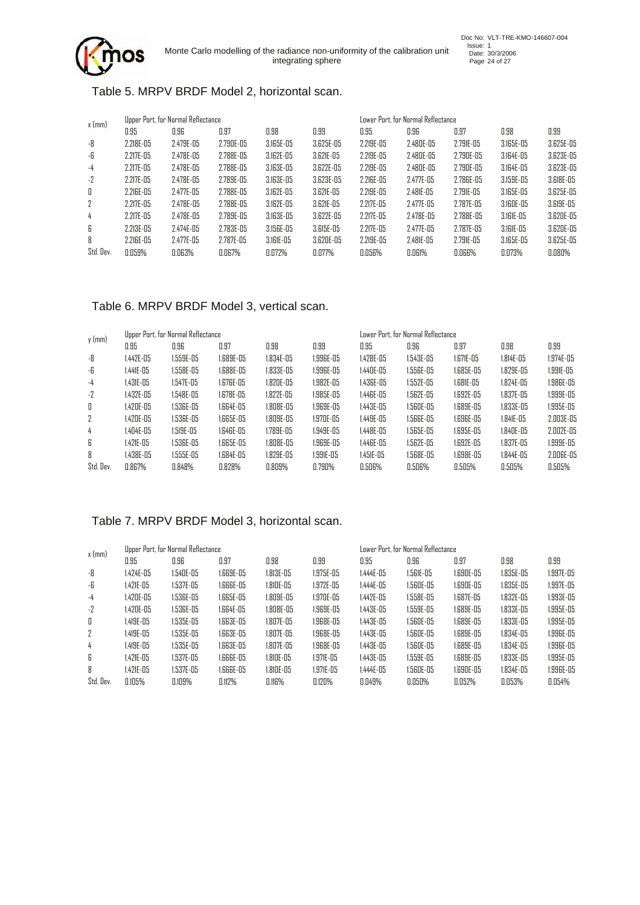

Doc No: VLT-TRE-KMO-146607-004<br>
Issue: 1<br>
Date: 30/3/2006<br>
Page 24 of 27

#### Table 5. MRPV BRDF Model 2, horizontal scan.

| $x$ (mm)  |                | Upper Port, for Normal Reflectance |               |               |           |                | Lower Port, for Normal Reflectance. |                |               |           |  |
|-----------|----------------|------------------------------------|---------------|---------------|-----------|----------------|-------------------------------------|----------------|---------------|-----------|--|
|           | 0.95           | 0.96                               | 0.97          | 0.98          | 0.99      | 0.95           | 0.96                                | 0.97           | 0.98          | 0.99      |  |
| -8        | $2.218E - 0.5$ | 2.479E-05                          | 2.790E-05     | 3.165E-05     | 3.625E-05 | $2.219E - 0.5$ | $2.480E - 05$                       | 2.791E-05      | 3.165E-05     | 3.625E-05 |  |
| -6        | $2.217E - 0.5$ | 2.478E-05                          | $2.788E - 05$ | 3.162E-05     | 3.621E-05 | $2.219E - 05$  | 2.480E-05                           | $2.790E - 05$  | 3.164E-05     | 3.623E-05 |  |
| $-4$      | $2.217E - 0.5$ | 2.478E-05                          | 2.788E-05     | 3.163E-05     | 3.622E-05 | $2.219E - 05$  | 2.480E-05                           | $2.790E - 05$  | 3.164E-05     | 3.623E-05 |  |
| $-2$      | $2.217E - 0.5$ | 2.478E-05                          | $2.789E - 05$ | 3.163E-05     | 3.623E-05 | $2.2$ IGE-05   | 2.477E-05                           | 2.786E-05      | $3.159E - 05$ | 3.618E-05 |  |
| 0         | 2.216E-05      | 2.477E-05                          | $2.788E - 05$ | 3.162E-05     | 3.621E-05 | $2.219E - 05$  | $2.481E - 0.5$                      | $2.791E - 0.5$ | 3.165E-05     | 3.625E-05 |  |
| 2         | $2.217E - 0.5$ | 2.478E-05                          | $2.788E - 05$ | 3.162E-05     | 3.621E-05 | $2.217E - 0.5$ | 2.477E-05                           | $2.787E - 0.5$ | 3.160E-05     | 3.619E-05 |  |
| 4         | $2.217E - 0.5$ | 2.478E-05                          | $2.789E - 05$ | 3.163E-05     | 3.622E-05 | 2.217E-05      | 2.478E-05                           | 2.788E-05      | 3.161E-05     | 3.620E-05 |  |
| 6         | 2.213E-05      | 2.474E-05                          | 2.783E-05     | $3.156E - 05$ | 3.615E-05 | $2.217E - 05$  | 2.477E-05                           | $2.787E - 05$  | 3.161E-05     | 3.620E-05 |  |
| 8         | 2.216E-05      | 2.477E-05                          | 2.787E-05     | 3.161E-05     | 3.620E-05 | $2.219E - 0.5$ | $2.481E - 05$                       | $2.791E - 0.5$ | 3.165E-05     | 3.625E-05 |  |
| Std. Dev. | 0.059%         | 0.063%                             | 0.067%        | 0.072%        | 0.077%    | 0.056%         | 0.061%                              | 0.066%         | 0.073%        | 0.080%    |  |

#### Table 6. MRPV BRDF Model 3, vertical scan.

| $y$ (mm)  |           | Upper Port, for Normal Reflectance |           |           |           |               | Lower Port, for Normal Reflectance. |           |                |                |  |
|-----------|-----------|------------------------------------|-----------|-----------|-----------|---------------|-------------------------------------|-----------|----------------|----------------|--|
|           | 0.95      | 0.96                               | 0.97      | 0.98      | 0.99      | 0.95          | 0.96                                | 0.97      | 0.98           | 0.99           |  |
| -8        | 1.442E-05 | 1.559E-05                          | I.689E-05 | 1.834E-05 | 1.996E-05 | $1.428E - 05$ | 1.543E-05                           | 1.671E-05 | 1.814E-05      | $1.974E - 0.5$ |  |
| -6        | 1.441E-05 | $1.558E - 05$                      | 1.688E-05 | l.833E-05 | 1.996E-05 | 1.440E-05     | $1.556E - 05$                       | 1.685E-05 | $1.829E - 0.5$ | 1.991E-05      |  |
| $-4$      | 1.431E-05 | 1.547E-05                          | 1.676E-05 | 1.820E-05 | 1.982E-05 | 1.436E-05     | $1.552E - 05$                       | 1.681E-05 | $1.824E - 0.5$ | 1.986E-05      |  |
| $-2$      | 1.432E-05 | 1.548E-05                          | 1.678E-05 | 1.822E-05 | 1.985E-05 | 1.446E-05     | $1.562E - 0.5$                      | 1.692E-05 | $1.837E - 0.5$ | 1.999E-05      |  |
| Π         | 1.420E-05 | 1.536E-05                          | 1.664E-05 | 1.808E-05 | 1.969E-05 | $1.443E - 05$ | $1.560E-05$                         | 1.689E-05 | $1.833E - 05$  | 1.995E-05      |  |
| 2         | 1.420E-05 | 1.536E-05                          | 1.665E-05 | 1.809E-05 | 1.970E-05 | 1.449E-05     | $1.566E - 0.5$                      | 1.696E-05 | 1.841E-05      | 2.003E-05      |  |
| 4         | 1.404E-05 | 1.519E-05                          | I.646E-05 | l.789E-05 | 1.949E-05 | 1.448E-05     | 1.565E-05                           | 1.695E-05 | 1.840E-05      | 2.002E-05      |  |
| 6         | 1.421E-05 | 1.536E-05                          | 1.665E-05 | 1.808E-05 | 1.969E-05 | 1.446E-05     | $1.562E - 05$                       | 1.692E-05 | 1.837E-05      | 1.999E-05      |  |
| 8         | 1.438E-05 | 1.555E-05                          | 1.684E-05 | 1.829E-05 | 1.991E-05 | 1.451E-05     | 1.568E-05                           | 1.698E-05 | 1.844E-05      | 2.006E-05      |  |
| Std. Dev. | 0.867%    | 0.848%                             | 0.828%    | 0.809%    | 0.790%    | 0.506%        | 0.506%                              | 0.505%    | 0.505%         | 0.505%         |  |

#### Table 7. MRPV BRDF Model 3, horizontal scan.

| x (mm)    | Upper Port, for Normal Reflectance |               |           |                |           | Lower Port, for Normal Reflectance. |                |           |                |           |
|-----------|------------------------------------|---------------|-----------|----------------|-----------|-------------------------------------|----------------|-----------|----------------|-----------|
|           | 0.95                               | 0.96          | 0.97      | 0.98           | 0.99      | 0.95                                | 0.96           | 0.97      | 0.98           | 0.99      |
| -8        | $1.424E - 0.5$                     | 1.540E-05     | I.669E-05 | $1.813E - 0.5$ | 1.975E-05 | $1.444E - 0.5$                      | 1.561E-05      | 1.690E-05 | $1.835E - 0.5$ | 1.997E-05 |
| -6        | 1.421E-05                          | 1.537E-05     | 1.666E-05 | 1.810E-05      | 1.972E-05 | $1.444E - 0.5$                      | 1.560E-05      | 1.690E-05 | $1.835E - 05$  | 1.997E-05 |
| -4        | 1.420E-05                          | $1.536E - 05$ | 1.665E-05 | 1.809E-05      | 1.970E-05 | $1.442E - 0.5$                      | $1.558E - 0.5$ | 1.687E-05 | $1.832E - 0.5$ | 1.993E-05 |
| $-2$      | 1.420E-05                          | 1.536E-05     | I.664E-05 | 1.808E-05      | 1.969E-05 | $1.443E - 05$                       | 1.559E-05      | 1.689E-05 | 1.833E-05      | 1.995E-05 |
| П         | 1.419E-05                          | 1.535E-05     | I.663E-05 | 1.807E-05      | 1.968E-05 | 1.443E-05                           | 1.560E-05      | 1.689E-05 | 1.833E-05      | 1.995E-05 |
| 2         | 1.419E-05                          | $1.535E - 05$ | 1.663E-05 | 1.807E-05      | 1.968E-05 | 1.443E-05                           | 1.560E-05      | 1.689E-05 | 1.834E-05      | 1.996E-05 |
| 4         | 1.419E-05                          | $1.535E - 05$ | 1.663E-05 | 1.807E-05      | 1.968E-05 | $1.443E - 05$                       | 1.560E-05      | 1.689E-05 | 1.834E-05      | 1.996E-05 |
| 6         | 1.421E-05                          | $1.537E-05$   | 1.666E-05 | 1.810E-05      | 1.971E-05 | $1.443E - 05$                       | 1.559E-05      | 1.689E-05 | 1.833E-05      | 1.995E-05 |
| 8         | 1.421E-05                          | 1.537E-05     | 1.666E-05 | 1.810E-05      | 1.971E-05 | $1.444E - 05$                       | 1.560E-05      | 1.690E-05 | $1.834E - 0.5$ | 1.996E-05 |
| Std. Dev. | 0.105%                             | 0.109%        | 0.112%    | 0.116%         | 0.120%    | 0.049%                              | 0.050%         | 0.052%    | 0.053%         | 0.054%    |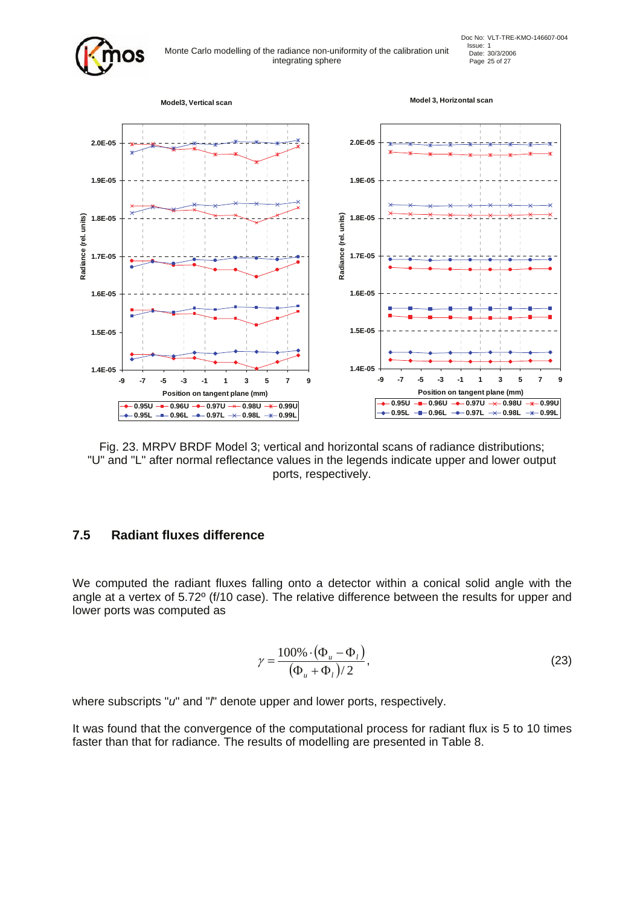

Issue: 1<br>Monte Carlo modelling of the radiance non-uniformity of the calibration unit  $D_{\text{bare}}$ : 30/3/2006 integrating sphere Page 25 of 27



Fig. 23. MRPV BRDF Model 3; vertical and horizontal scans of radiance distributions; "U" and "L" after normal reflectance values in the legends indicate upper and lower output ports, respectively.

### **7.5 Radiant fluxes difference**

We computed the radiant fluxes falling onto a detector within a conical solid angle with the angle at a vertex of 5.72º (f/10 case). The relative difference between the results for upper and lower ports was computed as

$$
\gamma = \frac{100\% \cdot (\Phi_u - \Phi_l)}{(\Phi_u + \Phi_l)/2},\tag{23}
$$

where subscripts "*u*" and "*l*" denote upper and lower ports, respectively.

It was found that the convergence of the computational process for radiant flux is 5 to 10 times faster than that for radiance. The results of modelling are presented in Table 8.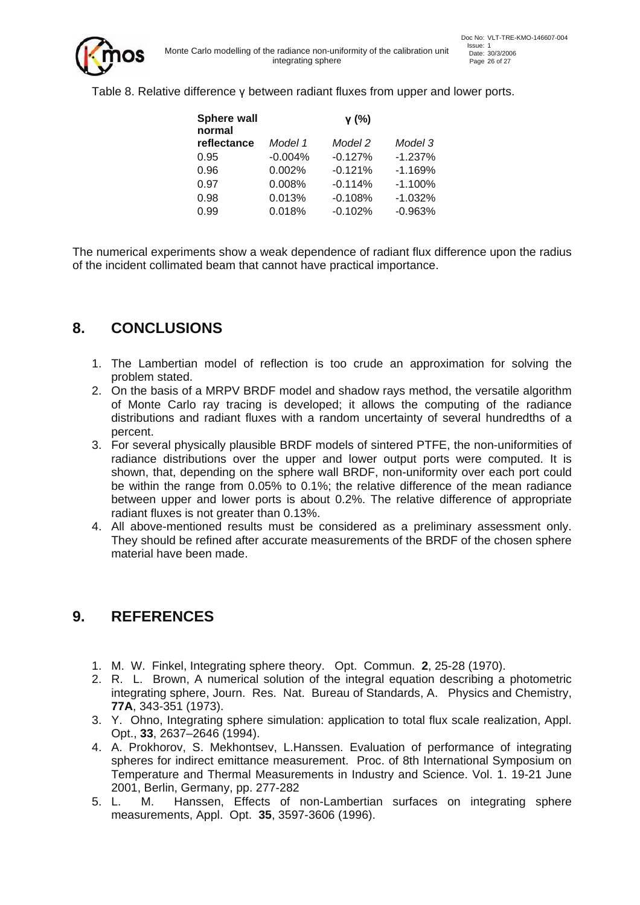

Table 8. Relative difference γ between radiant fluxes from upper and lower ports.

| Sphere wall<br>normal |           | γ (%)     |           |
|-----------------------|-----------|-----------|-----------|
| reflectance           | Model 1   | Model 2   | Model 3   |
| 0.95                  | $-0.004%$ | $-0.127%$ | $-1.237%$ |
| 0.96                  | 0.002%    | $-0.121%$ | $-1.169%$ |
| 0.97                  | 0.008%    | $-0.114%$ | $-1.100%$ |
| 0.98                  | 0.013%    | $-0.108%$ | $-1.032%$ |
| 0.99                  | 0.018%    | $-0.102%$ | $-0.963%$ |

The numerical experiments show a weak dependence of radiant flux difference upon the radius of the incident collimated beam that cannot have practical importance.

## **8. CONCLUSIONS**

- 1. The Lambertian model of reflection is too crude an approximation for solving the problem stated.
- 2. On the basis of a MRPV BRDF model and shadow rays method, the versatile algorithm of Monte Carlo ray tracing is developed; it allows the computing of the radiance distributions and radiant fluxes with a random uncertainty of several hundredths of a percent.
- 3. For several physically plausible BRDF models of sintered PTFE, the non-uniformities of radiance distributions over the upper and lower output ports were computed. It is shown, that, depending on the sphere wall BRDF, non-uniformity over each port could be within the range from 0.05% to 0.1%; the relative difference of the mean radiance between upper and lower ports is about 0.2%. The relative difference of appropriate radiant fluxes is not greater than 0.13%.
- 4. All above-mentioned results must be considered as a preliminary assessment only. They should be refined after accurate measurements of the BRDF of the chosen sphere material have been made.

## **9. REFERENCES**

- 1. M. W. Finkel, Integrating sphere theory. Opt. Commun. **2**, 25-28 (1970).
- 2. R. L. Brown, A numerical solution of the integral equation describing a photometric integrating sphere, Journ. Res. Nat. Bureau of Standards, A. Physics and Chemistry, **77A**, 343-351 (1973).
- 3. Y. Ohno, Integrating sphere simulation: application to total flux scale realization, Appl. Opt., **33**, 2637–2646 (1994).
- 4. A. Prokhorov, S. Mekhontsev, L.Hanssen. Evaluation of performance of integrating spheres for indirect emittance measurement. Proc. of 8th International Symposium on Temperature and Thermal Measurements in Industry and Science. Vol. 1. 19-21 June 2001, Berlin, Germany, pp. 277-282
- 5. L. M. Hanssen, Effects of non-Lambertian surfaces on integrating sphere measurements, Appl. Opt. **35**, 3597-3606 (1996).